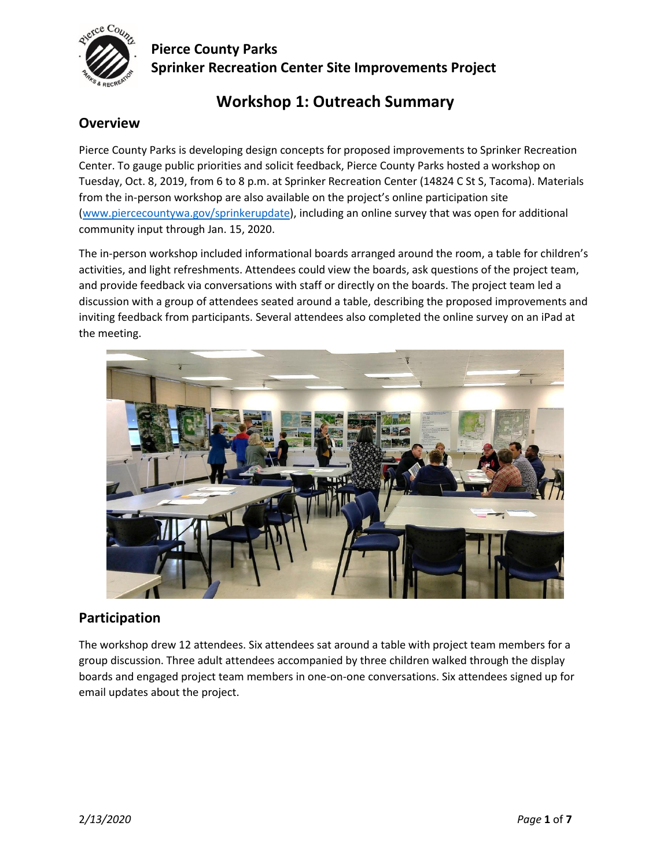

## **Pierce County Parks Sprinker Recreation Center Site Improvements Project**

## **Workshop 1: Outreach Summary**

## **Overview**

Pierce County Parks is developing design concepts for proposed improvements to Sprinker Recreation Center. To gauge public priorities and solicit feedback, Pierce County Parks hosted a workshop on Tuesday, Oct. 8, 2019, from 6 to 8 p.m. at Sprinker Recreation Center (14824 C St S, Tacoma). Materials from the in-person workshop are also available on the project's online participation site [\(www.piercecountywa.gov/sprinkerupdate\)](http://www.piercecountywa.gov/sprinkerupdate), including an online survey that was open for additional community input through Jan. 15, 2020.

The in-person workshop included informational boards arranged around the room, a table for children's activities, and light refreshments. Attendees could view the boards, ask questions of the project team, and provide feedback via conversations with staff or directly on the boards. The project team led a discussion with a group of attendees seated around a table, describing the proposed improvements and inviting feedback from participants. Several attendees also completed the online survey on an iPad at the meeting.



## **Participation**

The workshop drew 12 attendees. Six attendees sat around a table with project team members for a group discussion. Three adult attendees accompanied by three children walked through the display boards and engaged project team members in one-on-one conversations. Six attendees signed up for email updates about the project.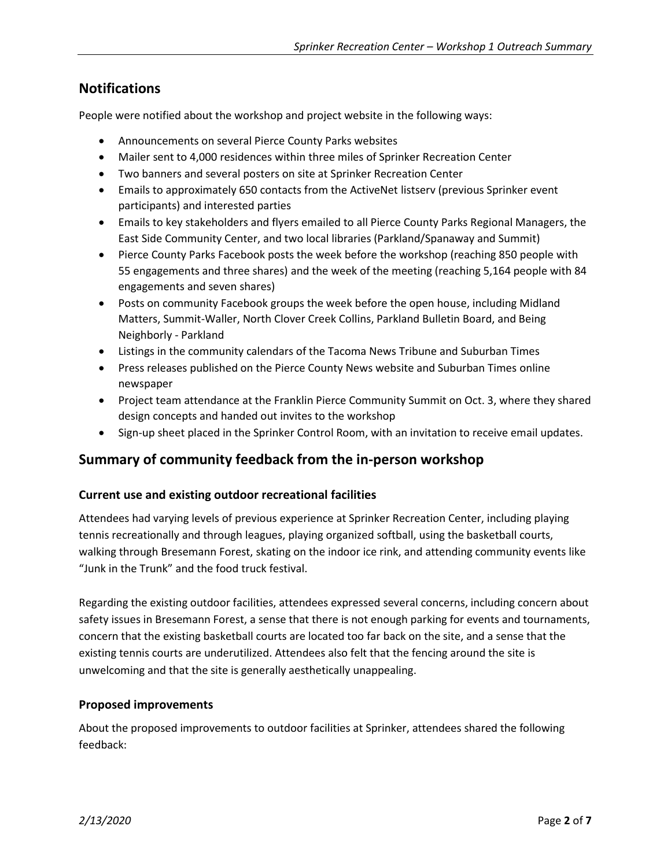## **Notifications**

People were notified about the workshop and project website in the following ways:

- Announcements on several Pierce County Parks websites
- Mailer sent to 4,000 residences within three miles of Sprinker Recreation Center
- Two banners and several posters on site at Sprinker Recreation Center
- Emails to approximately 650 contacts from the ActiveNet listserv (previous Sprinker event participants) and interested parties
- Emails to key stakeholders and flyers emailed to all Pierce County Parks Regional Managers, the East Side Community Center, and two local libraries (Parkland/Spanaway and Summit)
- Pierce County Parks Facebook posts the week before the workshop (reaching 850 people with 55 engagements and three shares) and the week of the meeting (reaching 5,164 people with 84 engagements and seven shares)
- Posts on community Facebook groups the week before the open house, including Midland Matters, Summit-Waller, North Clover Creek Collins, Parkland Bulletin Board, and Being Neighborly - Parkland
- Listings in the community calendars of the Tacoma News Tribune and Suburban Times
- Press releases published on the Pierce County News website and Suburban Times online newspaper
- Project team attendance at the Franklin Pierce Community Summit on Oct. 3, where they shared design concepts and handed out invites to the workshop
- Sign-up sheet placed in the Sprinker Control Room, with an invitation to receive email updates.

## **Summary of community feedback from the in-person workshop**

#### **Current use and existing outdoor recreational facilities**

Attendees had varying levels of previous experience at Sprinker Recreation Center, including playing tennis recreationally and through leagues, playing organized softball, using the basketball courts, walking through Bresemann Forest, skating on the indoor ice rink, and attending community events like "Junk in the Trunk" and the food truck festival.

Regarding the existing outdoor facilities, attendees expressed several concerns, including concern about safety issues in Bresemann Forest, a sense that there is not enough parking for events and tournaments, concern that the existing basketball courts are located too far back on the site, and a sense that the existing tennis courts are underutilized. Attendees also felt that the fencing around the site is unwelcoming and that the site is generally aesthetically unappealing.

#### **Proposed improvements**

About the proposed improvements to outdoor facilities at Sprinker, attendees shared the following feedback: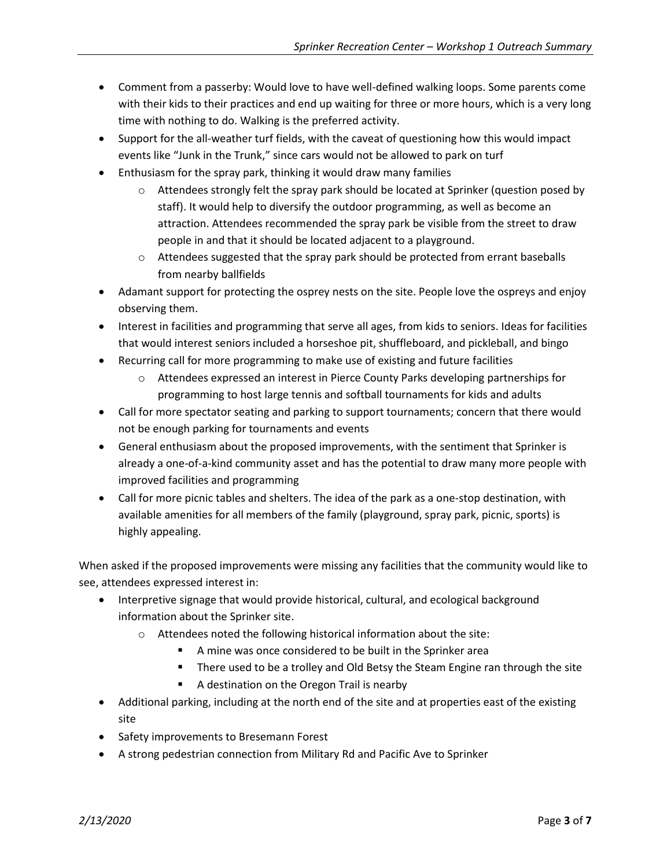- Comment from a passerby: Would love to have well-defined walking loops. Some parents come with their kids to their practices and end up waiting for three or more hours, which is a very long time with nothing to do. Walking is the preferred activity.
- Support for the all-weather turf fields, with the caveat of questioning how this would impact events like "Junk in the Trunk," since cars would not be allowed to park on turf
- Enthusiasm for the spray park, thinking it would draw many families
	- $\circ$  Attendees strongly felt the spray park should be located at Sprinker (question posed by staff). It would help to diversify the outdoor programming, as well as become an attraction. Attendees recommended the spray park be visible from the street to draw people in and that it should be located adjacent to a playground.
	- $\circ$  Attendees suggested that the spray park should be protected from errant baseballs from nearby ballfields
- Adamant support for protecting the osprey nests on the site. People love the ospreys and enjoy observing them.
- Interest in facilities and programming that serve all ages, from kids to seniors. Ideas for facilities that would interest seniors included a horseshoe pit, shuffleboard, and pickleball, and bingo
- Recurring call for more programming to make use of existing and future facilities
	- o Attendees expressed an interest in Pierce County Parks developing partnerships for programming to host large tennis and softball tournaments for kids and adults
- Call for more spectator seating and parking to support tournaments; concern that there would not be enough parking for tournaments and events
- General enthusiasm about the proposed improvements, with the sentiment that Sprinker is already a one-of-a-kind community asset and has the potential to draw many more people with improved facilities and programming
- Call for more picnic tables and shelters. The idea of the park as a one-stop destination, with available amenities for all members of the family (playground, spray park, picnic, sports) is highly appealing.

When asked if the proposed improvements were missing any facilities that the community would like to see, attendees expressed interest in:

- Interpretive signage that would provide historical, cultural, and ecological background information about the Sprinker site.
	- o Attendees noted the following historical information about the site:
		- A mine was once considered to be built in the Sprinker area
		- There used to be a trolley and Old Betsy the Steam Engine ran through the site
		- A destination on the Oregon Trail is nearby
- Additional parking, including at the north end of the site and at properties east of the existing site
- Safety improvements to Bresemann Forest
- A strong pedestrian connection from Military Rd and Pacific Ave to Sprinker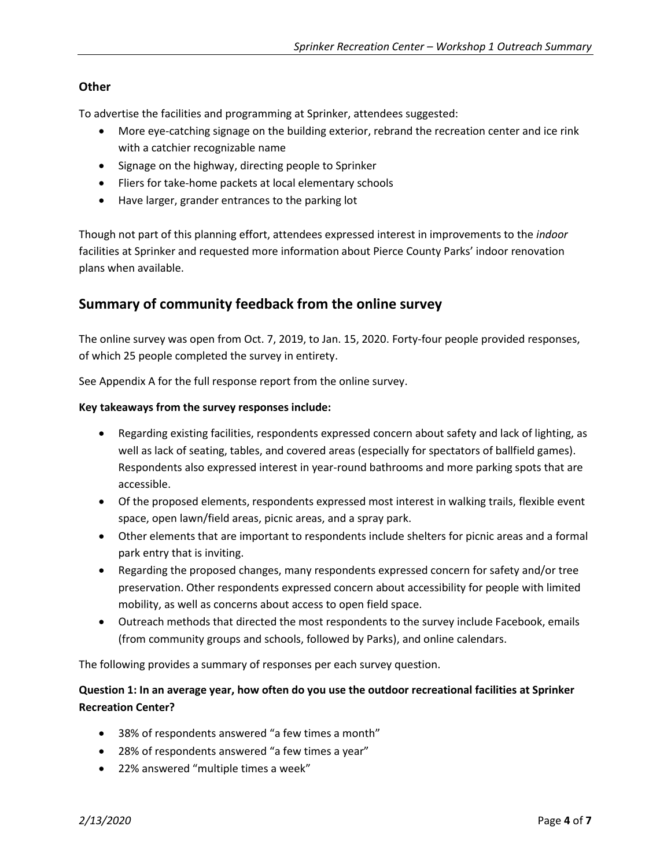#### **Other**

To advertise the facilities and programming at Sprinker, attendees suggested:

- More eye-catching signage on the building exterior, rebrand the recreation center and ice rink with a catchier recognizable name
- Signage on the highway, directing people to Sprinker
- Fliers for take-home packets at local elementary schools
- Have larger, grander entrances to the parking lot

Though not part of this planning effort, attendees expressed interest in improvements to the *indoor* facilities at Sprinker and requested more information about Pierce County Parks' indoor renovation plans when available.

## **Summary of community feedback from the online survey**

The online survey was open from Oct. 7, 2019, to Jan. 15, 2020. Forty-four people provided responses, of which 25 people completed the survey in entirety.

See Appendix A for the full response report from the online survey.

#### **Key takeaways from the survey responses include:**

- Regarding existing facilities, respondents expressed concern about safety and lack of lighting, as well as lack of seating, tables, and covered areas (especially for spectators of ballfield games). Respondents also expressed interest in year-round bathrooms and more parking spots that are accessible.
- Of the proposed elements, respondents expressed most interest in walking trails, flexible event space, open lawn/field areas, picnic areas, and a spray park.
- Other elements that are important to respondents include shelters for picnic areas and a formal park entry that is inviting.
- Regarding the proposed changes, many respondents expressed concern for safety and/or tree preservation. Other respondents expressed concern about accessibility for people with limited mobility, as well as concerns about access to open field space.
- Outreach methods that directed the most respondents to the survey include Facebook, emails (from community groups and schools, followed by Parks), and online calendars.

The following provides a summary of responses per each survey question.

#### **Question 1: In an average year, how often do you use the outdoor recreational facilities at Sprinker Recreation Center?**

- 38% of respondents answered "a few times a month"
- 28% of respondents answered "a few times a year"
- 22% answered "multiple times a week"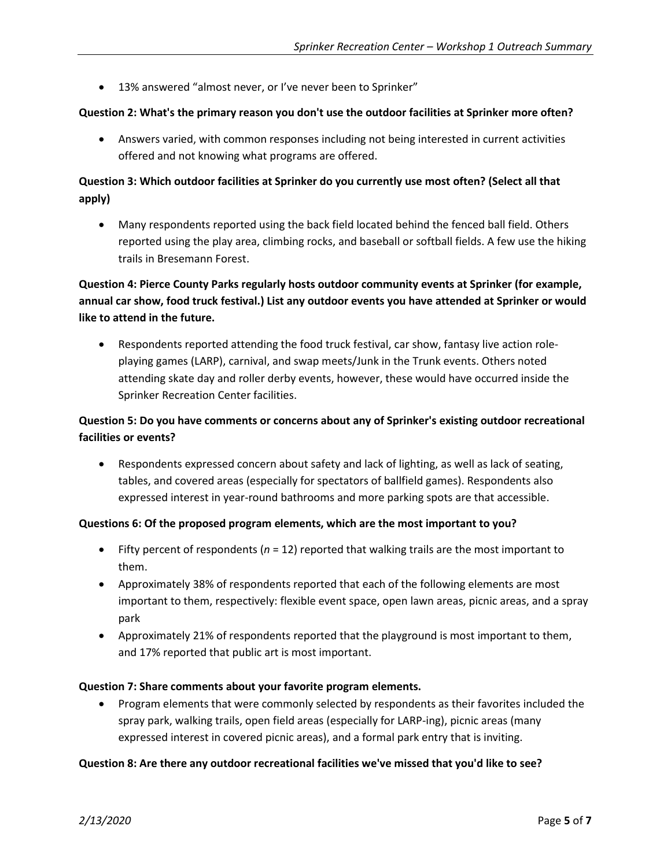• 13% answered "almost never, or I've never been to Sprinker"

#### **Question 2: What's the primary reason you don't use the outdoor facilities at Sprinker more often?**

• Answers varied, with common responses including not being interested in current activities offered and not knowing what programs are offered.

### **Question 3: Which outdoor facilities at Sprinker do you currently use most often? (Select all that apply)**

• Many respondents reported using the back field located behind the fenced ball field. Others reported using the play area, climbing rocks, and baseball or softball fields. A few use the hiking trails in Bresemann Forest.

## **Question 4: Pierce County Parks regularly hosts outdoor community events at Sprinker (for example, annual car show, food truck festival.) List any outdoor events you have attended at Sprinker or would like to attend in the future.**

• Respondents reported attending the food truck festival, car show, fantasy live action roleplaying games (LARP), carnival, and swap meets/Junk in the Trunk events. Others noted attending skate day and roller derby events, however, these would have occurred inside the Sprinker Recreation Center facilities.

### **Question 5: Do you have comments or concerns about any of Sprinker's existing outdoor recreational facilities or events?**

• Respondents expressed concern about safety and lack of lighting, as well as lack of seating, tables, and covered areas (especially for spectators of ballfield games). Respondents also expressed interest in year-round bathrooms and more parking spots are that accessible.

#### **Questions 6: Of the proposed program elements, which are the most important to you?**

- Fifty percent of respondents (*n* = 12) reported that walking trails are the most important to them.
- Approximately 38% of respondents reported that each of the following elements are most important to them, respectively: flexible event space, open lawn areas, picnic areas, and a spray park
- Approximately 21% of respondents reported that the playground is most important to them, and 17% reported that public art is most important.

#### **Question 7: Share comments about your favorite program elements.**

• Program elements that were commonly selected by respondents as their favorites included the spray park, walking trails, open field areas (especially for LARP-ing), picnic areas (many expressed interest in covered picnic areas), and a formal park entry that is inviting.

#### **Question 8: Are there any outdoor recreational facilities we've missed that you'd like to see?**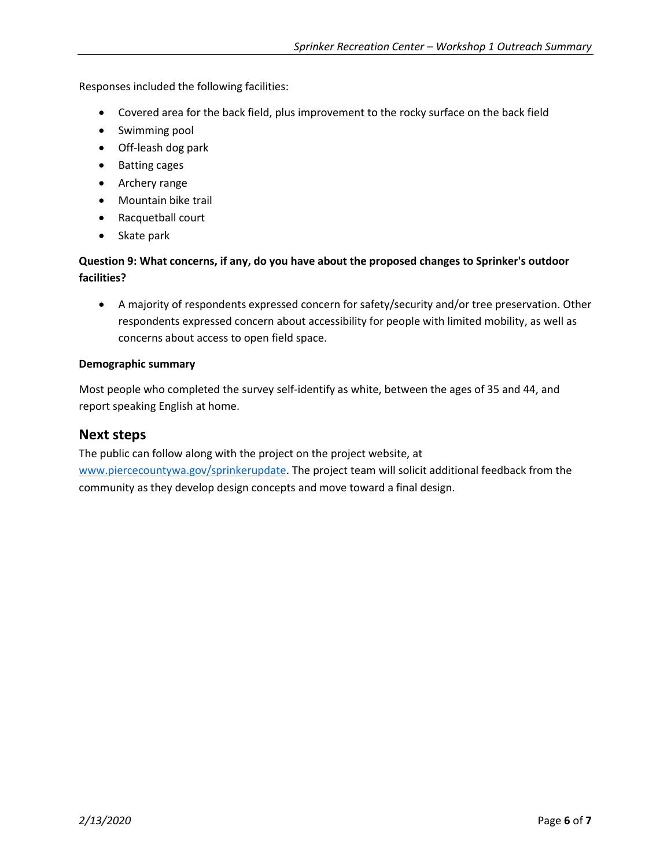Responses included the following facilities:

- Covered area for the back field, plus improvement to the rocky surface on the back field
- Swimming pool
- Off-leash dog park
- Batting cages
- Archery range
- Mountain bike trail
- Racquetball court
- Skate park

#### **Question 9: What concerns, if any, do you have about the proposed changes to Sprinker's outdoor facilities?**

• A majority of respondents expressed concern for safety/security and/or tree preservation. Other respondents expressed concern about accessibility for people with limited mobility, as well as concerns about access to open field space.

#### **Demographic summary**

Most people who completed the survey self-identify as white, between the ages of 35 and 44, and report speaking English at home.

#### **Next steps**

The public can follow along with the project on the project website, at [www.piercecountywa.gov/sprinkerupdate.](http://www.piercecountywa.gov/sprinkerupdate) The project team will solicit additional feedback from the community as they develop design concepts and move toward a final design.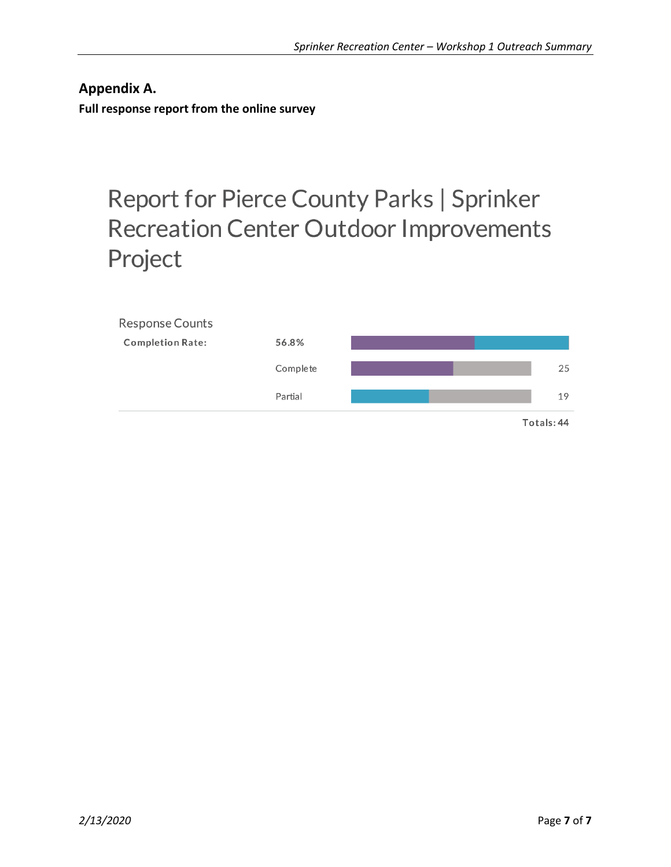**Appendix A. Full response report from the online survey**

# Report for Pierce County Parks | Sprinker **Recreation Center Outdoor Improvements** Project

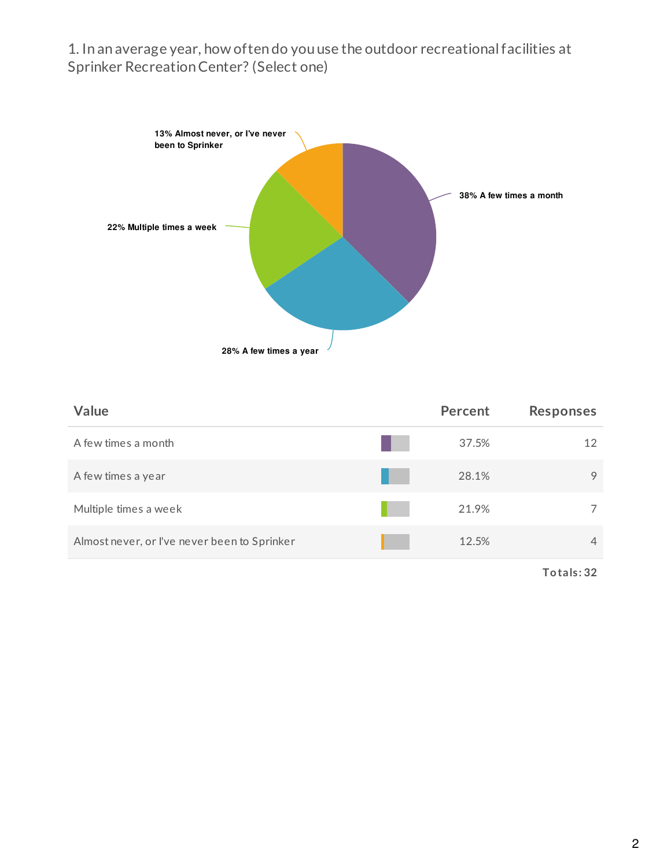## 1. In an average year, how often do you use the outdoor recreationalfacilities at Sprinker RecreationCenter? (Select one)



| Value                                        | <b>Percent</b> |       | <b>Responses</b> |
|----------------------------------------------|----------------|-------|------------------|
| A few times a month                          |                | 37.5% | 12               |
| A few times a year                           |                | 28.1% | 9                |
| Multiple times a week                        |                | 21.9% |                  |
| Almost never, or I've never been to Sprinker |                | 12.5% | $\overline{4}$   |
|                                              |                |       |                  |

**Totals: 32**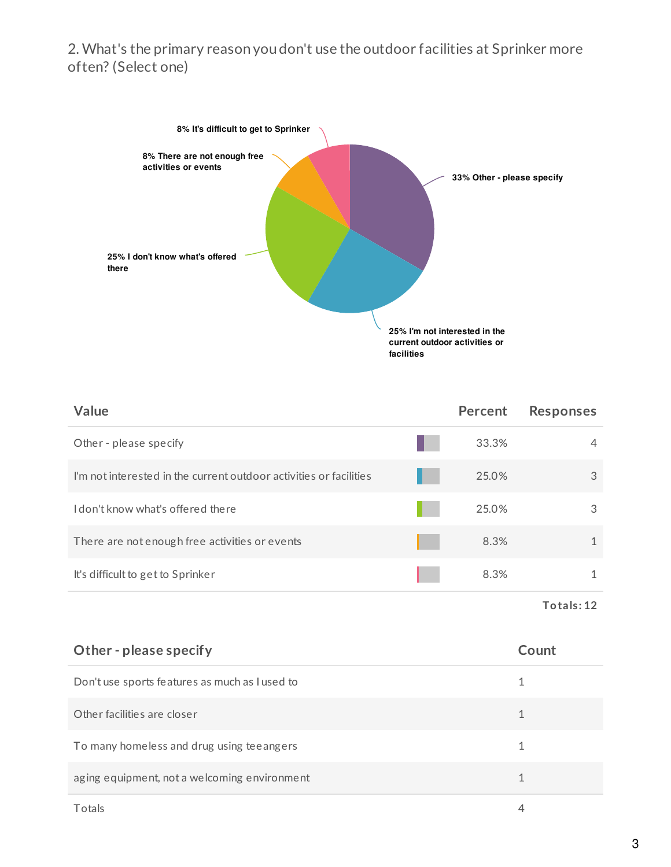## 2. What's the primary reason you don't use the outdoor facilities at Sprinker more often? (Select one)



| Value                                                              | Percent | <b>Responses</b> |
|--------------------------------------------------------------------|---------|------------------|
| Other - please specify                                             | 33.3%   | 4                |
| I'm not interested in the current outdoor activities or facilities | 25.0%   | 3                |
| I don't know what's offered there                                  | 25.0%   | 3                |
| There are not enough free activities or events                     | 8.3%    |                  |
| It's difficult to get to Sprinker                                  | 8.3%    |                  |
|                                                                    |         |                  |

**Totals: 12**

| Other - please specify                         | Count |
|------------------------------------------------|-------|
| Don't use sports features as much as I used to |       |
| Other facilities are closer                    |       |
| To many homeless and drug using teeangers      |       |
| aging equipment, not a welcoming environment   | 1     |
| Totals                                         |       |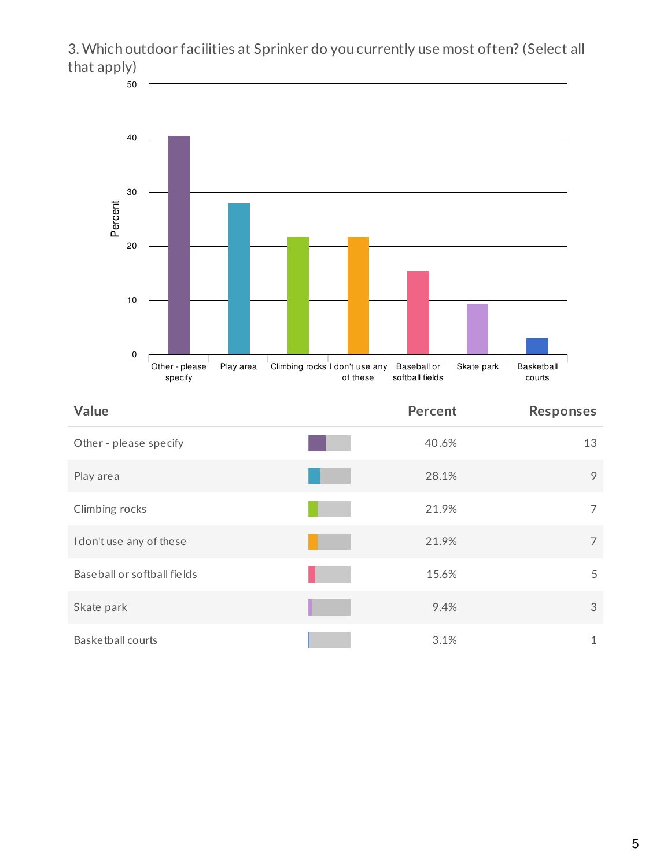

| specify                      | or mese<br>soltball lielus | courts           |
|------------------------------|----------------------------|------------------|
| Value                        | <b>Percent</b>             | <b>Responses</b> |
| Other - please specify       | 40.6%                      | 13               |
| Play area                    | 28.1%                      | 9                |
| Climbing rocks               | 21.9%                      | $\overline{7}$   |
| I don't use any of these     | 21.9%                      | 7                |
| Base ball or softball fields | 15.6%                      | 5                |
| Skate park                   | 9.4%                       | 3                |
| Basketball courts            | 3.1%                       | $\mathbf{1}$     |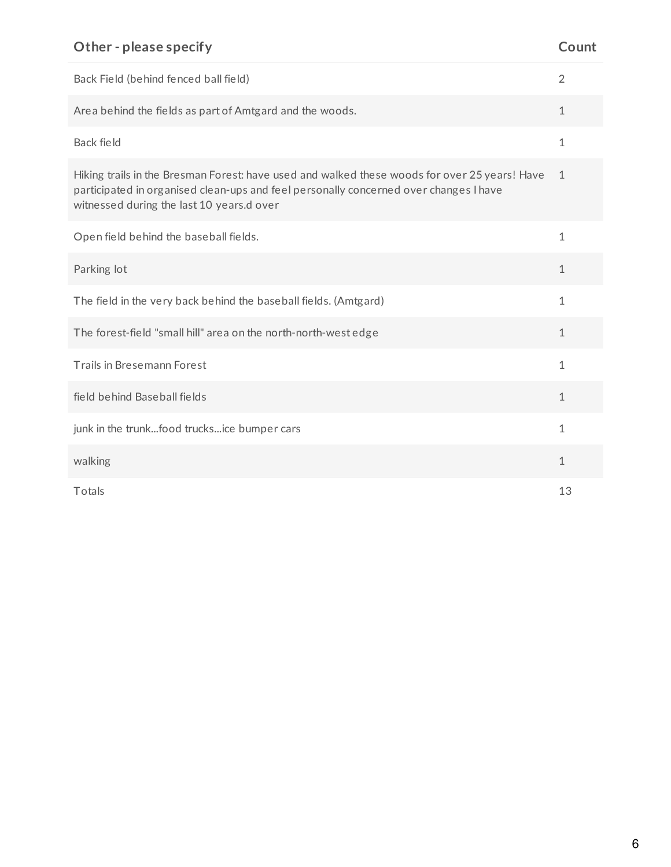## **Other - please specify Count**

| Back Field (behind fenced ball field)                                                                                                                                                                                               | $\overline{2}$ |
|-------------------------------------------------------------------------------------------------------------------------------------------------------------------------------------------------------------------------------------|----------------|
| Area behind the fields as part of Amtgard and the woods.                                                                                                                                                                            | $\mathbf 1$    |
| Back field                                                                                                                                                                                                                          | $\mathbf{1}$   |
| Hiking trails in the Bresman Forest: have used and walked these woods for over 25 years! Have<br>participated in organised clean-ups and feel personally concerned over changes I have<br>witnessed during the last 10 years.d over | $\mathbf{1}$   |
| Open field behind the baseball fields.                                                                                                                                                                                              | 1              |
| Parking lot                                                                                                                                                                                                                         | 1              |
| The field in the very back behind the baseball fields. (Amtgard)                                                                                                                                                                    | 1              |
| The forest-field "small hill" area on the north-north-west edge                                                                                                                                                                     | 1              |
| Trails in Bresemann Forest                                                                                                                                                                                                          | 1              |
| field behind Baseball fields                                                                                                                                                                                                        | 1              |
| junk in the trunkfood trucksice bumper cars                                                                                                                                                                                         | 1              |
| walking                                                                                                                                                                                                                             | 1              |
| Totals                                                                                                                                                                                                                              | 13             |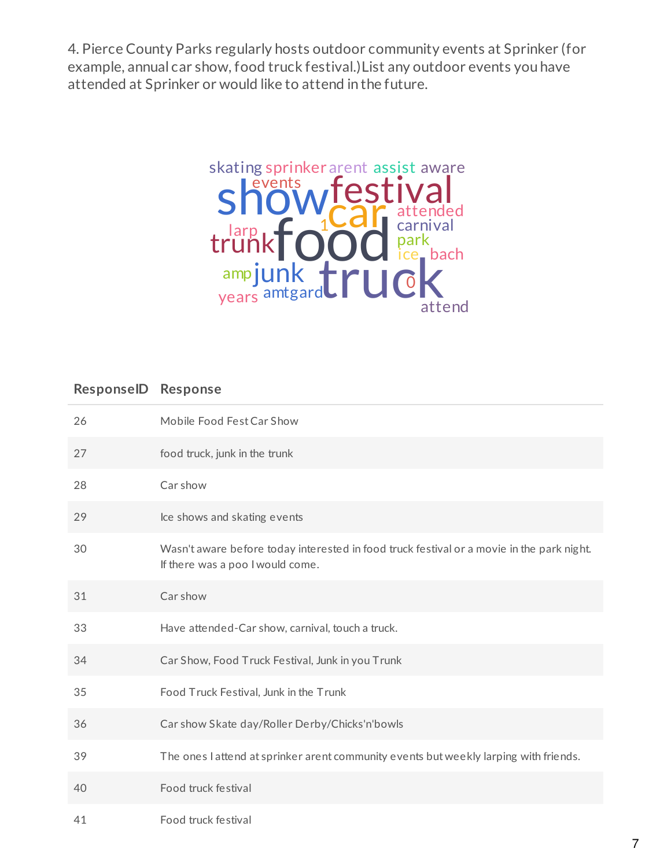4. Pierce County Parks regularly hosts outdoor community events at Sprinker (for example, annual car show, food truck festival.)List any outdoor events you have attended at Sprinker or would like to attend in the future.



## **ResponseID Response**

| 26 | Mobile Food Fest Car Show                                                                                                     |
|----|-------------------------------------------------------------------------------------------------------------------------------|
| 27 | food truck, junk in the trunk                                                                                                 |
| 28 | Car show                                                                                                                      |
| 29 | Ice shows and skating events                                                                                                  |
| 30 | Wasn't aware before today interested in food truck festival or a movie in the park night.<br>If there was a poo I would come. |
| 31 | Car show                                                                                                                      |
| 33 | Have attended-Car show, carnival, touch a truck.                                                                              |
| 34 | Car Show, Food Truck Festival, Junk in you Trunk                                                                              |
| 35 | Food Truck Festival, Junk in the Trunk                                                                                        |
| 36 | Car show Skate day/Roller Derby/Chicks'n'bowls                                                                                |
| 39 | The ones I attend at sprinker arent community events but weekly larping with friends.                                         |
| 40 | Food truck festival                                                                                                           |
| 41 | Food truck festival                                                                                                           |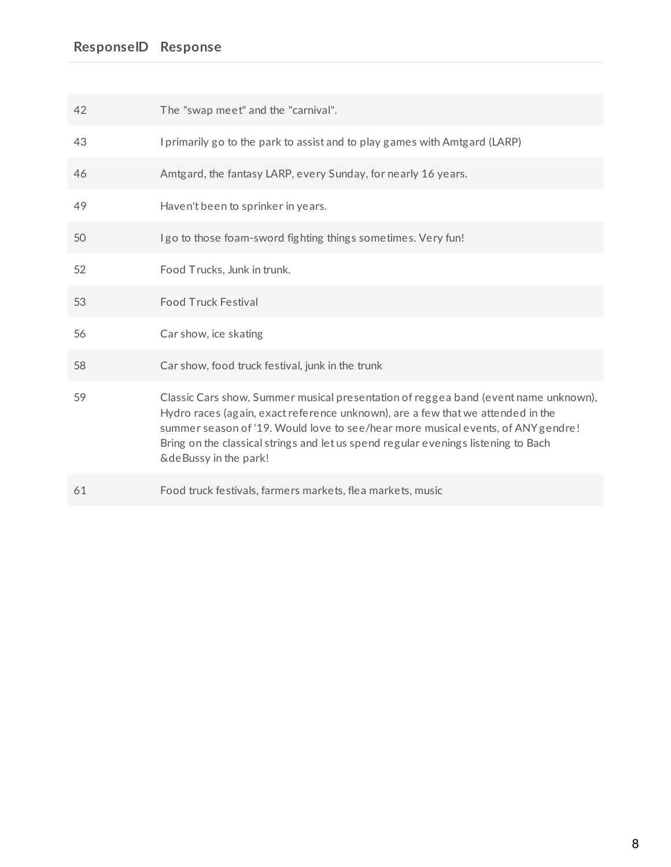| 42 | The "swap meet" and the "carnival".                                                                                                                                                                                                                                                                                                                                         |
|----|-----------------------------------------------------------------------------------------------------------------------------------------------------------------------------------------------------------------------------------------------------------------------------------------------------------------------------------------------------------------------------|
| 43 | I primarily go to the park to assist and to play games with Amtgard (LARP)                                                                                                                                                                                                                                                                                                  |
| 46 | Amtgard, the fantasy LARP, every Sunday, for nearly 16 years.                                                                                                                                                                                                                                                                                                               |
| 49 | Haven't been to sprinker in years.                                                                                                                                                                                                                                                                                                                                          |
| 50 | I go to those foam-sword fighting things sometimes. Very fun!                                                                                                                                                                                                                                                                                                               |
| 52 | Food Trucks, Junk in trunk.                                                                                                                                                                                                                                                                                                                                                 |
| 53 | <b>Food Truck Festival</b>                                                                                                                                                                                                                                                                                                                                                  |
| 56 | Car show, ice skating                                                                                                                                                                                                                                                                                                                                                       |
| 58 | Car show, food truck festival, junk in the trunk                                                                                                                                                                                                                                                                                                                            |
| 59 | Classic Cars show, Summer musical presentation of reggea band (event name unknown),<br>Hydro races (again, exact reference unknown), are a few that we attended in the<br>summer season of '19. Would love to see/hear more musical events, of ANY gendre!<br>Bring on the classical strings and let us spend regular evenings listening to Bach<br>& de Bussy in the park! |
| 61 | Food truck festivals, farmers markets, flea markets, music                                                                                                                                                                                                                                                                                                                  |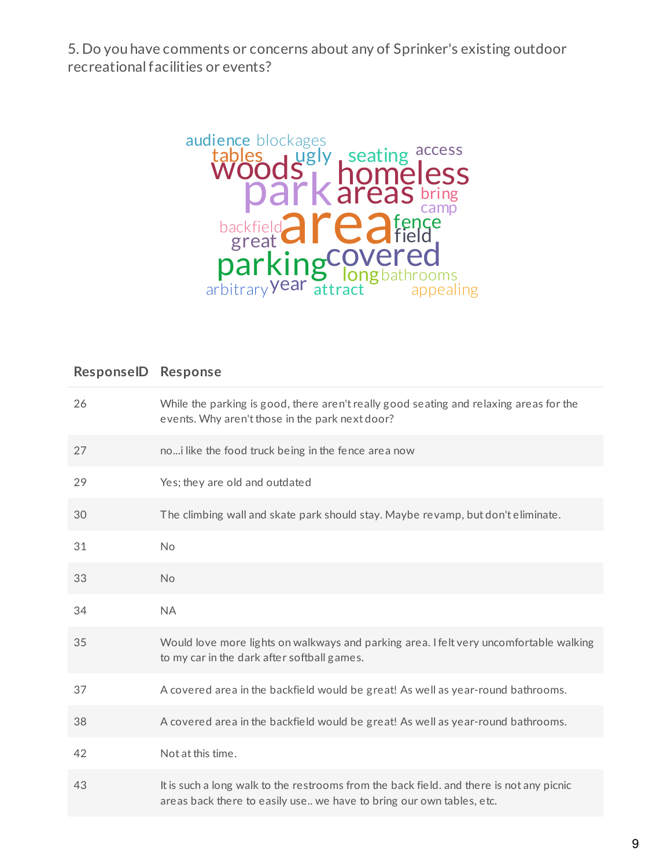5. Do you have comments or concerns about any of Sprinker's existing outdoor recreationalfacilities or events?



## **ResponseID Response**

| 26 | While the parking is good, there aren't really good seating and relaxing areas for the<br>events. Why aren't those in the park next door?                        |
|----|------------------------------------------------------------------------------------------------------------------------------------------------------------------|
| 27 | noi like the food truck being in the fence area now                                                                                                              |
| 29 | Yes; they are old and outdated                                                                                                                                   |
| 30 | The climbing wall and skate park should stay. Maybe revamp, but don't eliminate.                                                                                 |
| 31 | <b>No</b>                                                                                                                                                        |
| 33 | No                                                                                                                                                               |
| 34 | <b>NA</b>                                                                                                                                                        |
| 35 | Would love more lights on walkways and parking area. I felt very uncomfortable walking<br>to my car in the dark after softball games.                            |
| 37 | A covered area in the backfield would be great! As well as year-round bathrooms.                                                                                 |
| 38 | A covered area in the backfield would be great! As well as year-round bathrooms.                                                                                 |
| 42 | Not at this time.                                                                                                                                                |
| 43 | It is such a long walk to the restrooms from the back field, and there is not any picnic<br>areas back there to easily use we have to bring our own tables, etc. |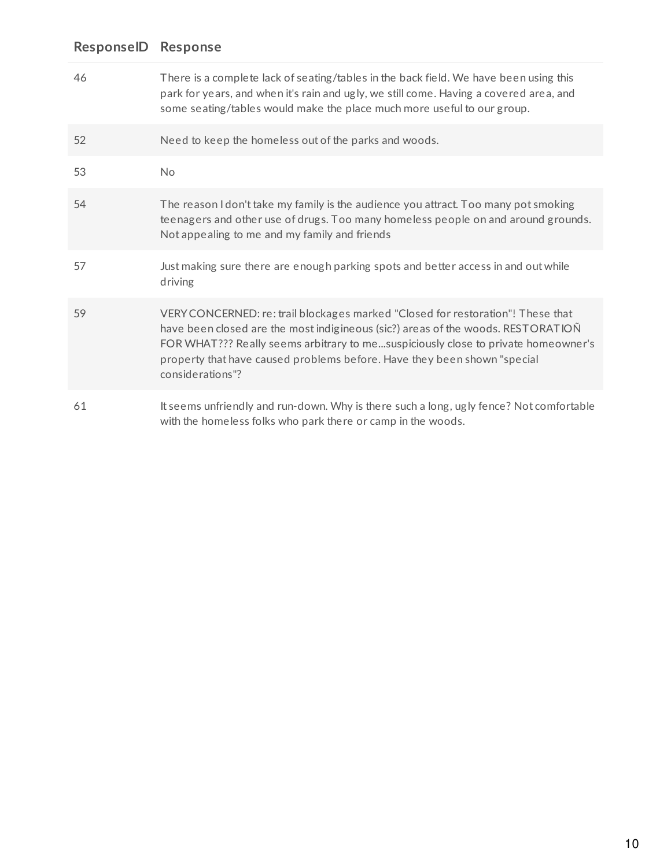| 46 | There is a complete lack of seating/tables in the back field. We have been using this<br>park for years, and when it's rain and ugly, we still come. Having a covered area, and<br>some seating/tables would make the place much more useful to our group.                                                                                               |
|----|----------------------------------------------------------------------------------------------------------------------------------------------------------------------------------------------------------------------------------------------------------------------------------------------------------------------------------------------------------|
| 52 | Need to keep the homeless out of the parks and woods.                                                                                                                                                                                                                                                                                                    |
| 53 | <b>No</b>                                                                                                                                                                                                                                                                                                                                                |
| 54 | The reason I don't take my family is the audience you attract. Too many pot smoking<br>teenagers and other use of drugs. Too many homeless people on and around grounds.<br>Not appealing to me and my family and friends                                                                                                                                |
| 57 | Just making sure there are enough parking spots and better access in and out while<br>driving                                                                                                                                                                                                                                                            |
| 59 | VERY CONCERNED: re: trail blockages marked "Closed for restoration"! These that<br>have been closed are the most indigineous (sic?) areas of the woods. RESTORATION<br>FOR WHAT??? Really seems arbitrary to mesuspiciously close to private homeowner's<br>property that have caused problems before. Have they been shown "special<br>considerations"? |
| 61 | It seems unfriendly and run-down. Why is there such a long, ugly fence? Not comfortable<br>with the homeless folks who park there or camp in the woods.                                                                                                                                                                                                  |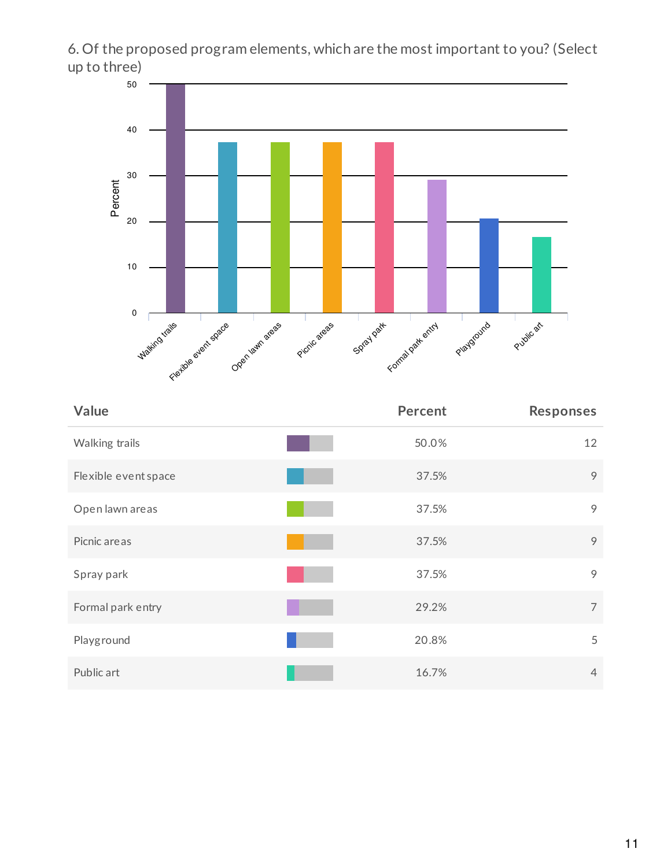6. Of the proposed program elements, which are the most important to you? (Select up to three)



| Value                | <b>Percent</b> | Responses      |
|----------------------|----------------|----------------|
| Walking trails       | 50.0%          | 12             |
| Flexible event space | 37.5%          | 9              |
| Open lawn areas      | 37.5%          | 9              |
| Picnic are as        | 37.5%          | 9              |
| Spray park           | 37.5%          | 9              |
| Formal park entry    | 29.2%          | $\overline{7}$ |
| Playground           | 20.8%          | 5              |
| Public art           | 16.7%          | $\overline{4}$ |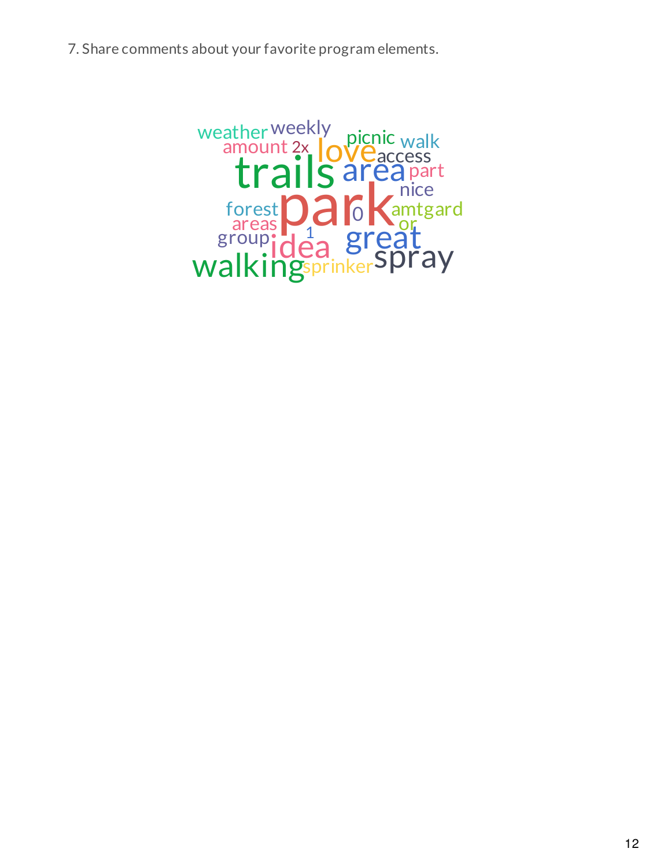7. Share comments about your favorite program elements.

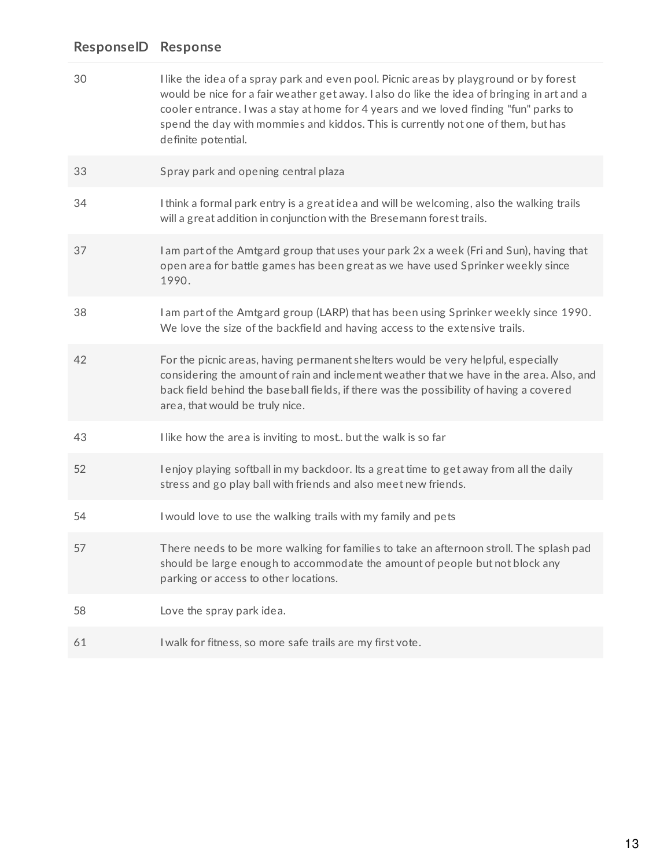## **ResponseID Response**

| 30 | I like the idea of a spray park and even pool. Picnic areas by playground or by forest<br>would be nice for a fair weather get away. I also do like the idea of bringing in art and a<br>cooler entrance. I was a stay at home for 4 years and we loved finding "fun" parks to<br>spend the day with mommies and kiddos. This is currently not one of them, but has<br>definite potential. |
|----|--------------------------------------------------------------------------------------------------------------------------------------------------------------------------------------------------------------------------------------------------------------------------------------------------------------------------------------------------------------------------------------------|
| 33 | Spray park and opening central plaza                                                                                                                                                                                                                                                                                                                                                       |
| 34 | I think a formal park entry is a great idea and will be welcoming, also the walking trails<br>will a great addition in conjunction with the Bresemann forest trails.                                                                                                                                                                                                                       |
| 37 | I am part of the Amtgard group that uses your park 2x a week (Fri and Sun), having that<br>open area for battle games has been great as we have used Sprinker weekly since<br>1990.                                                                                                                                                                                                        |
| 38 | I am part of the Amtgard group (LARP) that has been using Sprinker weekly since 1990.<br>We love the size of the backfield and having access to the extensive trails.                                                                                                                                                                                                                      |
| 42 | For the picnic areas, having permanent shelters would be very helpful, especially<br>considering the amount of rain and inclement weather that we have in the area. Also, and<br>back field behind the baseball fields, if there was the possibility of having a covered<br>area, that would be truly nice.                                                                                |
| 43 | I like how the area is inviting to most but the walk is so far                                                                                                                                                                                                                                                                                                                             |
| 52 | I enjoy playing softball in my backdoor. Its a great time to get away from all the daily<br>stress and go play ball with friends and also meet new friends.                                                                                                                                                                                                                                |
| 54 | I would love to use the walking trails with my family and pets                                                                                                                                                                                                                                                                                                                             |
| 57 | There needs to be more walking for families to take an afternoon stroll. The splash pad<br>should be large enough to accommodate the amount of people but not block any<br>parking or access to other locations.                                                                                                                                                                           |
| 58 | Love the spray park idea.                                                                                                                                                                                                                                                                                                                                                                  |
| 61 | I walk for fitness, so more safe trails are my first vote.                                                                                                                                                                                                                                                                                                                                 |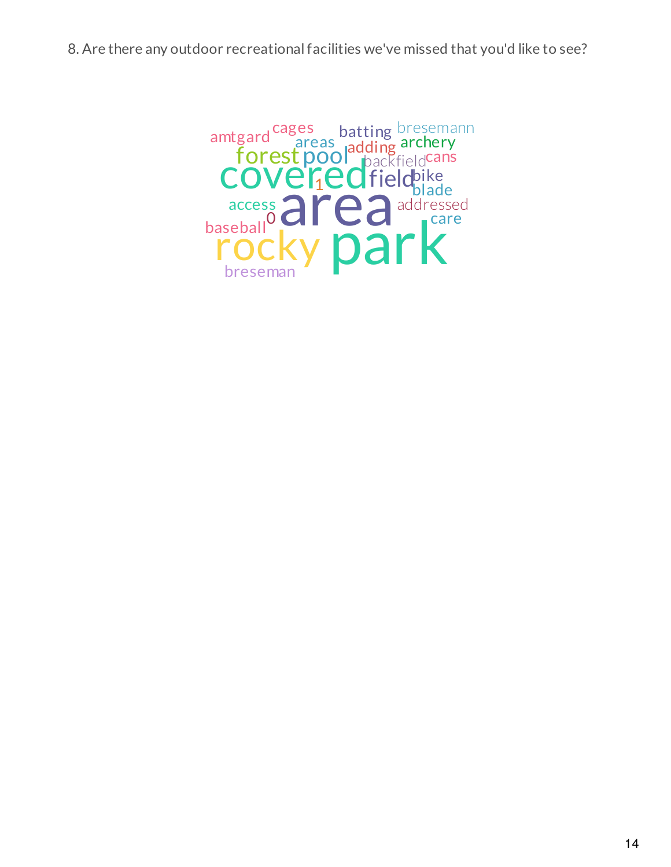8. Are there any outdoor recreationalfacilities we've missed that you'd like to see?

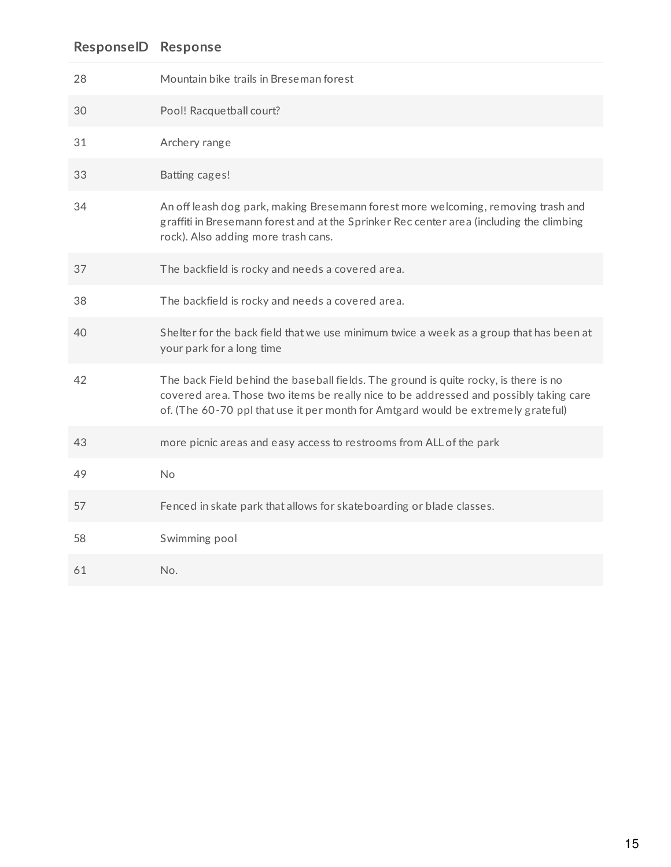## **ResponseID Response**

| 28 | Mountain bike trails in Breseman forest                                                                                                                                                                                                                            |
|----|--------------------------------------------------------------------------------------------------------------------------------------------------------------------------------------------------------------------------------------------------------------------|
| 30 | Pool! Racquetball court?                                                                                                                                                                                                                                           |
| 31 | Archery range                                                                                                                                                                                                                                                      |
| 33 | Batting cages!                                                                                                                                                                                                                                                     |
| 34 | An off leash dog park, making Bresemann forest more welcoming, removing trash and<br>graffiti in Bresemann forest and at the Sprinker Rec center area (including the climbing<br>rock). Also adding more trash cans.                                               |
| 37 | The backfield is rocky and needs a covered area.                                                                                                                                                                                                                   |
| 38 | The backfield is rocky and needs a covered area.                                                                                                                                                                                                                   |
| 40 | Shelter for the back field that we use minimum twice a week as a group that has been at<br>your park for a long time                                                                                                                                               |
| 42 | The back Field behind the baseball fields. The ground is quite rocky, is there is no<br>covered area. Those two items be really nice to be addressed and possibly taking care<br>of. (The 60-70 ppl that use it per month for Amtgard would be extremely grateful) |
| 43 | more picnic areas and easy access to restrooms from ALL of the park                                                                                                                                                                                                |
| 49 | <b>No</b>                                                                                                                                                                                                                                                          |
| 57 | Fenced in skate park that allows for skateboarding or blade classes.                                                                                                                                                                                               |
| 58 | Swimming pool                                                                                                                                                                                                                                                      |
| 61 | No.                                                                                                                                                                                                                                                                |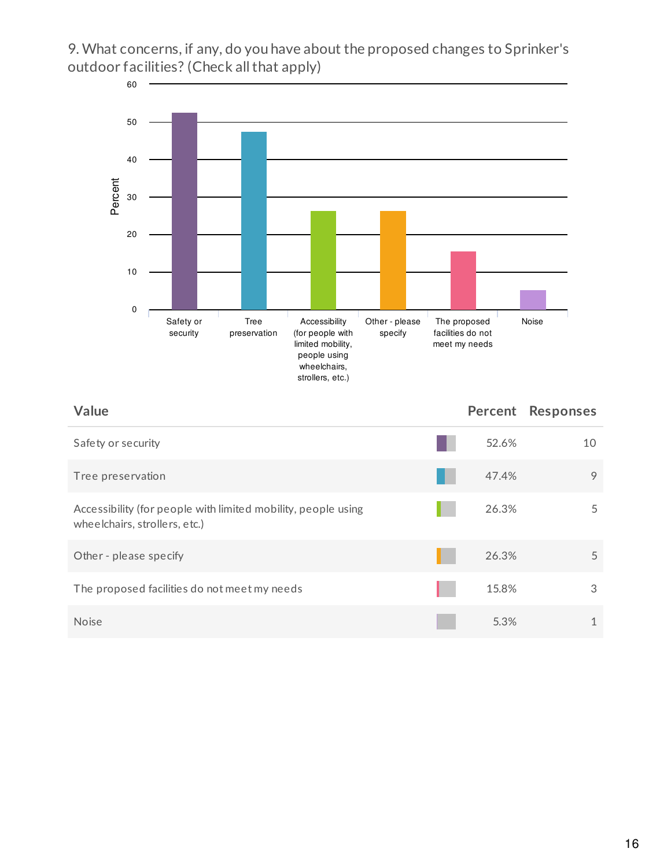9. What concerns, if any, do you have about the proposed changes to Sprinker's outdoor facilities? (Check all that apply)



## **Value Percent Responses**

| Safety or security                                                                             | 52.6% | 10 |
|------------------------------------------------------------------------------------------------|-------|----|
| Tree preservation                                                                              | 47.4% | 9  |
| Accessibility (for people with limited mobility, people using<br>wheelchairs, strollers, etc.) | 26.3% | 5  |
| Other - please specify                                                                         | 26.3% | 5  |
| The proposed facilities do not meet my needs                                                   | 15.8% | 3  |
| <b>Noise</b>                                                                                   | 5.3%  |    |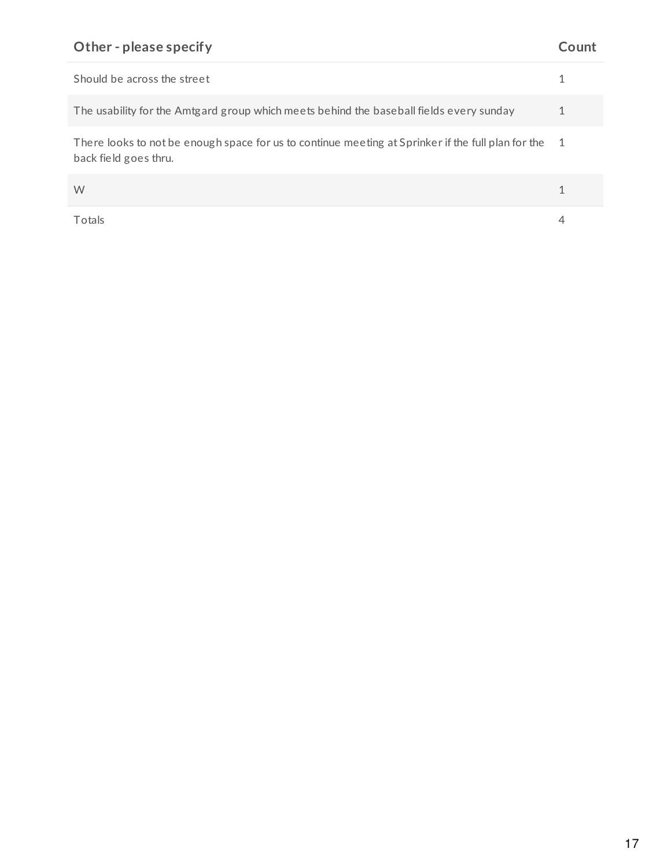## **Other - please specify Count**

| Should be across the street                                                                                                 |                |
|-----------------------------------------------------------------------------------------------------------------------------|----------------|
| The usability for the Amtgard group which meets behind the baseball fields every sunday                                     |                |
| There looks to not be enough space for us to continue meeting at Sprinker if the full plan for the<br>back field goes thru. | $\overline{1}$ |
| W                                                                                                                           |                |
| Totals                                                                                                                      |                |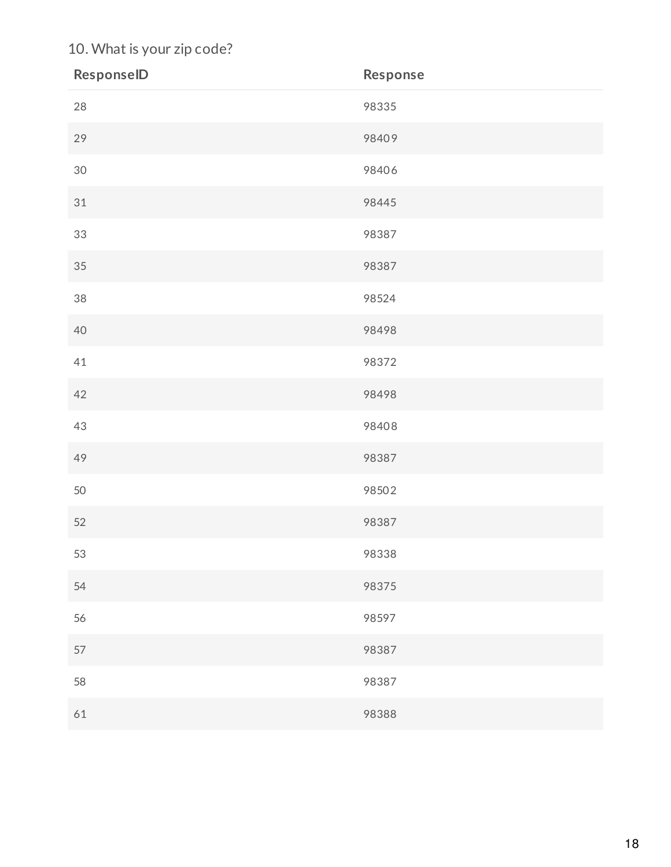## 10. What is your zip code?

| ResponselD | Response |
|------------|----------|
| 28         | 98335    |
| 29         | 98409    |
| $30\,$     | 98406    |
| 31         | 98445    |
| 33         | 98387    |
| 35         | 98387    |
| 38         | 98524    |
| 40         | 98498    |
| 41         | 98372    |
| 42         | 98498    |
| $43\,$     | 98408    |
| 49         | 98387    |
| 50         | 98502    |
| 52         | 98387    |
| 53         | 98338    |
| 54         | 98375    |
| 56         | 98597    |
| 57         | 98387    |
| 58         | 98387    |
| 61         | 98388    |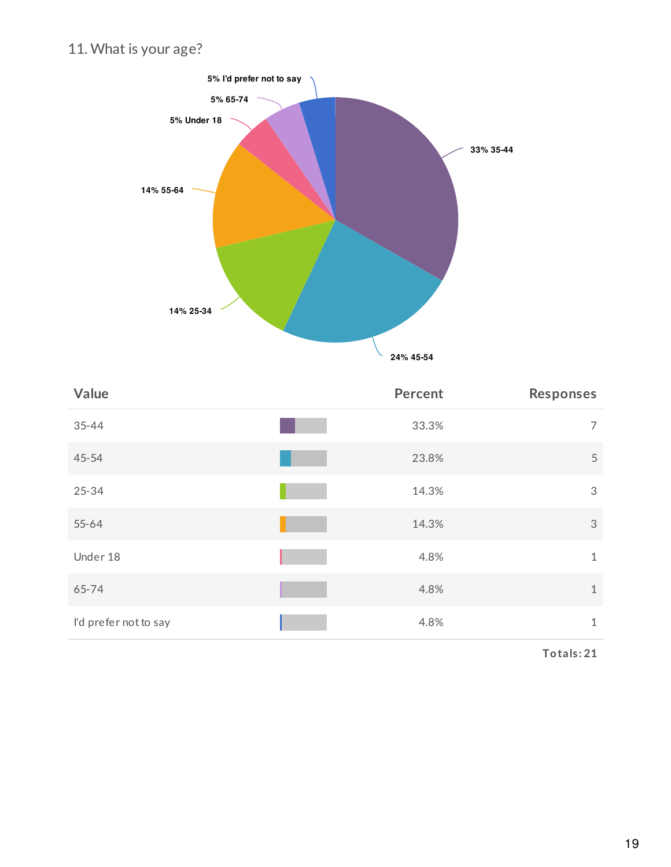## 11. What is your age?



| Value                 | <b>Percent</b> | <b>Responses</b> |
|-----------------------|----------------|------------------|
| $35 - 44$             | 33.3%          | $\overline{7}$   |
| $45 - 54$             | 23.8%          | 5                |
| 25-34                 | 14.3%          | 3                |
| $55 - 64$             | 14.3%          | $\sqrt{3}$       |
| Under 18              | 4.8%           | $\mathbf{1}$     |
| 65-74                 | 4.8%           | $\mathbf{1}$     |
| I'd prefer not to say | 4.8%           | $\mathbf{1}$     |

**Totals: 21**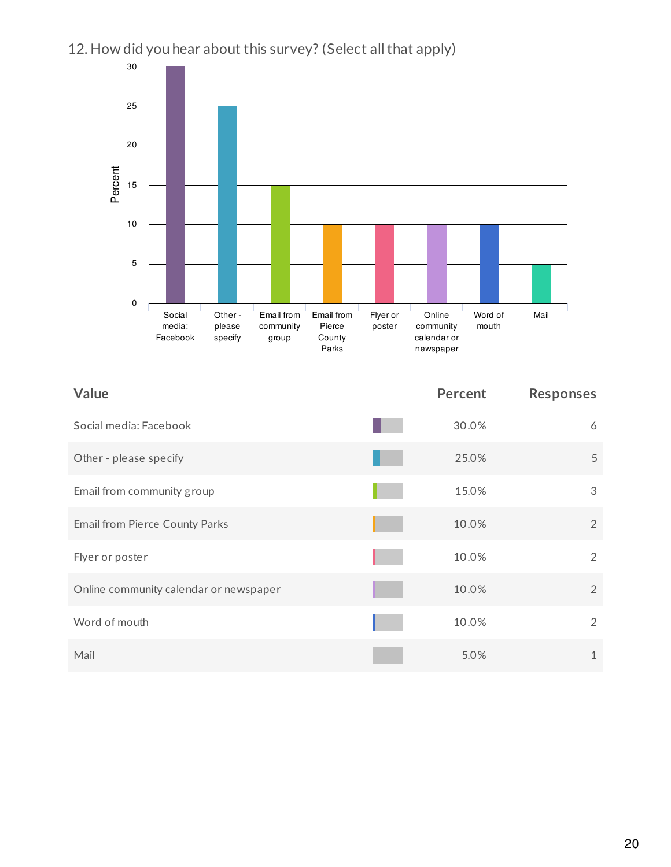

## 12. How did you hear about this survey? (Select all that apply)

| Value                                  | <b>Percent</b> | <b>Responses</b> |
|----------------------------------------|----------------|------------------|
| Social media: Facebook                 | 30.0%          | 6                |
| Other - please specify                 | 25.0%          | 5                |
| Email from community group             | 15.0%          | 3                |
| Email from Pierce County Parks         | 10.0%          | $\overline{2}$   |
| Flyer or poster                        | 10.0%          | 2                |
| Online community calendar or newspaper | 10.0%          | 2                |
| Word of mouth                          | 10.0%          | $\overline{2}$   |
| Mail                                   | 5.0%           | $\mathbf{1}$     |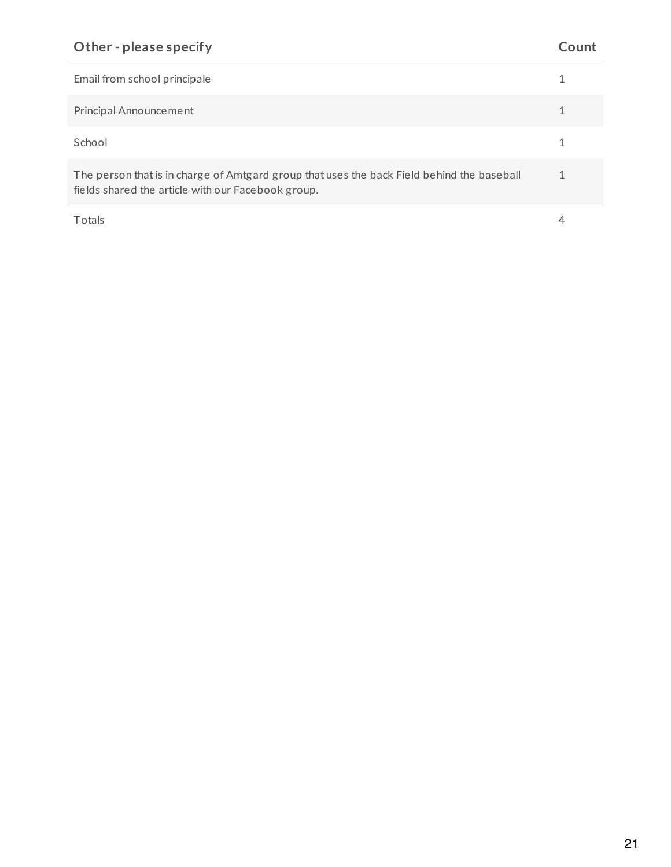## **Other - please specify Count**

| Email from school principale                                                                                                                     |  |
|--------------------------------------------------------------------------------------------------------------------------------------------------|--|
| Principal Announcement                                                                                                                           |  |
| School                                                                                                                                           |  |
| The person that is in charge of Amtgard group that uses the back Field behind the baseball<br>fields shared the article with our Facebook group. |  |
| Totals                                                                                                                                           |  |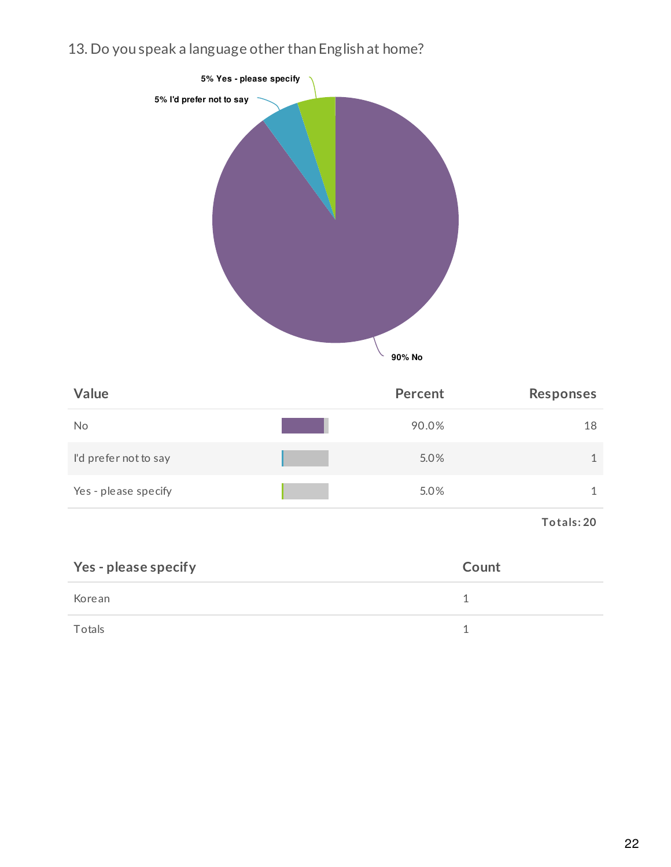13. Do you speak a language other than English at home?



| Value                 | Percent | <b>Responses</b> |
|-----------------------|---------|------------------|
| No                    | 90.0%   | 18               |
| I'd prefer not to say | 5.0%    |                  |
| Yes - please specify  | 5.0%    |                  |

**Totals: 20**

| Yes - please specify | Count |
|----------------------|-------|
| Korean               |       |
| Totals               |       |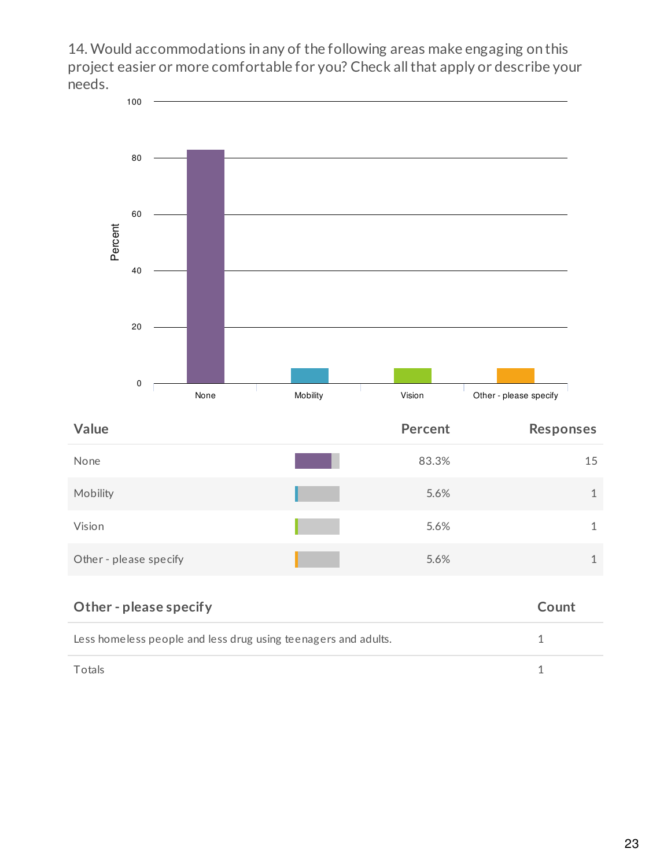14. Would accommodations in any of the following areas make engaging on this project easier or more comfortable for you? Check all that apply or describe your needs.



| None                   | 83.3% | 15 |
|------------------------|-------|----|
| Mobility               | 5.6%  |    |
| Vision                 | 5.6%  |    |
| Other - please specify | 5.6%  |    |

| Other - please specify                                         | Count |
|----------------------------------------------------------------|-------|
| Less homeless people and less drug using teenagers and adults. |       |
| Totals                                                         |       |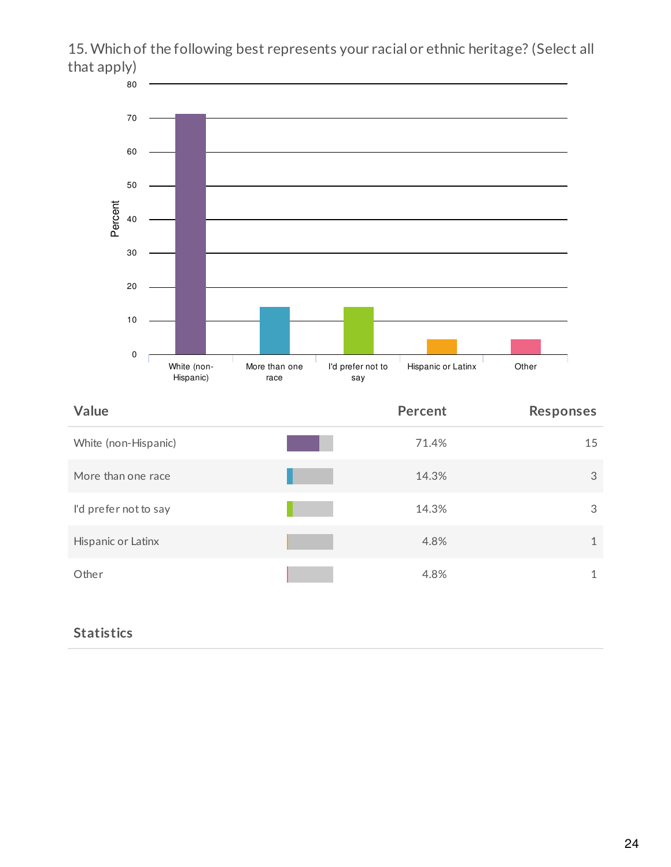## 15. Which of the following best represents your racial or ethnic heritage? (Select all that apply)



| Value                 | <b>Percent</b> | <b>Responses</b> |
|-----------------------|----------------|------------------|
| White (non-Hispanic)  | 71.4%          | 15               |
| More than one race    | 14.3%          | 3                |
| I'd prefer not to say | 14.3%          | 3                |
| Hispanic or Latinx    | 4.8%           | 1                |
| Other                 | 4.8%           | 1                |

## **Statistics**